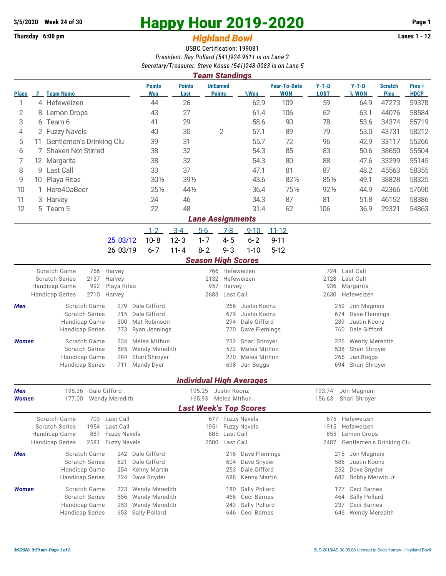## **Thursday 6:00 pm** *Highland Bowl*

## **3/5/2020** Week 24 of 30<br> **Happy Hour 2019-2020** Page 1<br> **Highland Rowl Lanes 1 - 12**<br>
Lanes 1 - 12

## USBC Certification: 199081 *President: Ray Pollard (541)924-9611 is on Lane 2 Secretary/Treasurer: Steve Kosse (541)248-0083 is on Lane 5*

|              | <b>Team Standings</b>          |                                                       |                            |                             |                       |                             |                                            |                                 |                                             |                                          |                                       |                               |                      |  |  |  |  |
|--------------|--------------------------------|-------------------------------------------------------|----------------------------|-----------------------------|-----------------------|-----------------------------|--------------------------------------------|---------------------------------|---------------------------------------------|------------------------------------------|---------------------------------------|-------------------------------|----------------------|--|--|--|--|
| <b>Place</b> |                                | # Team Name                                           |                            | <b>Points</b><br>Won        | <b>Points</b><br>Lost |                             | <b>UnEarned</b><br><b>Points</b>           | %Won                            | <b>Year-To-Date</b><br><b>WON</b>           | $Y-T-D$<br><b>LOST</b>                   | $Y-T-D$<br>% WON                      | <b>Scratch</b><br><b>Pins</b> | Pins+<br><b>HDCP</b> |  |  |  |  |
| 1            |                                | 4 Hefeweizen                                          |                            | 44                          | 26                    |                             |                                            | 62.9                            | 109                                         | 59                                       | 64.9                                  | 47273                         | 59378                |  |  |  |  |
| 2            |                                | 43<br>8 Lemon Drops                                   |                            |                             | 27                    |                             | 61.4                                       |                                 | 106                                         | 62                                       | 63.1                                  | 44076                         | 58584                |  |  |  |  |
| 3            | 6 Team 6                       |                                                       | 41                         | 29                          |                       |                             | 58.6                                       | 90                              | 78                                          | 53.6                                     | 34374                                 | 55719                         |                      |  |  |  |  |
| 4            | 2 Fuzzy Navels                 |                                                       | 40                         | 30                          |                       | $\overline{2}$              | 57.1                                       | 89                              | 79                                          | 53.0                                     | 43731                                 | 58212                         |                      |  |  |  |  |
| 5            | Gentlemen's Drinking Clu<br>11 |                                                       |                            | 39                          | 31                    |                             |                                            | 55.7                            | 72                                          | 96                                       | 42.9                                  | 33117                         | 55266                |  |  |  |  |
| 6            | Shaken Not Stirred<br>7        |                                                       |                            | 38                          | 32                    |                             |                                            | 54.3                            | 85                                          | 83                                       | 50.6                                  | 38650                         | 55504                |  |  |  |  |
| 7            | 12 Margarita                   |                                                       | 38                         | 32                          |                       |                             |                                            | 80                              | 88                                          | 47.6                                     | 33299                                 | 55145                         |                      |  |  |  |  |
| 8            |                                | 9 Last Call                                           |                            | 33                          | 37                    |                             |                                            | 47.1                            | 81                                          | 87                                       | 48.2                                  | 45563                         | 58355                |  |  |  |  |
| 9            |                                | 10 Playa Ritas                                        |                            | $30\%$                      |                       | 39 1/2                      |                                            | 43.6                            | 821/2                                       | 851/2                                    | 49.1                                  | 38828                         | 58325                |  |  |  |  |
| 10           | $\mathbf{1}$                   | Here4DaBeer                                           |                            | $25\frac{1}{2}$             | 44 1/2                |                             |                                            | 36.4                            | 751/2                                       | 92 1/2                                   | 44.9                                  | 42366                         | 57690                |  |  |  |  |
| 11           |                                | 3 Harvey                                              |                            | 24                          | 46                    |                             |                                            | 34.3                            | 87                                          | 81                                       | 51.8                                  | 46152                         | 58386                |  |  |  |  |
| 12           |                                | 5 Team 5                                              |                            | 22                          | 48                    |                             |                                            | 31.4                            | 62                                          | 106                                      | 36.9                                  | 29321                         | 54863                |  |  |  |  |
|              | <b>Lane Assignments</b>        |                                                       |                            |                             |                       |                             |                                            |                                 |                                             |                                          |                                       |                               |                      |  |  |  |  |
|              |                                |                                                       |                            | $1 - 2$                     | $3-4$                 | $5-6$                       | $7-8$                                      | $9 - 10$                        | $11 - 12$                                   |                                          |                                       |                               |                      |  |  |  |  |
|              |                                |                                                       | 25 03/12                   | $10 - 8$                    | $12 - 3$              | $1 - 7$                     | $4 - 5$                                    | $6 - 2$                         | $9 - 11$                                    |                                          |                                       |                               |                      |  |  |  |  |
|              |                                |                                                       | 26 03/19                   | $6 - 7$                     | $11 - 4$              | $8 - 2$                     | $9 - 3$                                    | $1 - 10$                        | $5 - 12$                                    |                                          |                                       |                               |                      |  |  |  |  |
|              |                                |                                                       |                            |                             |                       | <b>Season High Scores</b>   |                                            |                                 |                                             |                                          |                                       |                               |                      |  |  |  |  |
|              |                                | Scratch Game<br>766                                   | Harvey                     |                             | 766 Hefeweizen        |                             |                                            |                                 |                                             |                                          | Last Call<br>724                      |                               |                      |  |  |  |  |
|              |                                | <b>Scratch Series</b><br>2137<br>992<br>Handicap Game | Harvey<br>Playa Ritas      |                             |                       | 2132<br>Hefeweizen<br>957   |                                            |                                 |                                             |                                          | 2128<br>Last Call<br>936<br>Margarita |                               |                      |  |  |  |  |
|              |                                | <b>Handicap Series</b><br>2710                        | Harvey                     |                             |                       | Harvey<br>Last Call<br>2683 |                                            |                                 |                                             |                                          | 2630<br>Hefeweizen                    |                               |                      |  |  |  |  |
| Men          |                                | Scratch Game                                          | Dale Gifford               | 266<br>Justin Koonz         |                       |                             |                                            |                                 |                                             | Jon Magnani<br>259                       |                                       |                               |                      |  |  |  |  |
|              |                                | <b>Scratch Series</b>                                 | Dale Gifford               |                             |                       | 679                         | Justin Koonz                               |                                 | Dave Flemings<br>674                        |                                          |                                       |                               |                      |  |  |  |  |
|              |                                | Handicap Game                                         | Mat Robinson               |                             | 294<br>Dale Gifford   |                             |                                            |                                 | Justin Koonz<br>289                         |                                          |                                       |                               |                      |  |  |  |  |
|              |                                | <b>Handicap Series</b>                                | Ryan Jennings              |                             |                       | 770                         | Dave Flemings                              |                                 | Dale Gifford<br>760                         |                                          |                                       |                               |                      |  |  |  |  |
| <b>Women</b> |                                | Scratch Game                                          | Melea Mithun               |                             |                       | 232                         | Shari Shroyer                              |                                 | <b>Wendy Meredith</b><br>226                |                                          |                                       |                               |                      |  |  |  |  |
|              |                                | <b>Scratch Series</b>                                 | 585                        | <b>Wendy Meredith</b>       |                       |                             | Melea Mithun<br>572<br>Melea Mithun<br>270 |                                 |                                             |                                          | 538<br>Shari Shroyer                  |                               |                      |  |  |  |  |
|              |                                | Handicap Game<br><b>Handicap Series</b>               | 284<br>711                 | Shari Shroyer<br>Mandy Dyer |                       | 698<br>Jan Boggs            |                                            |                                 |                                             | 266<br>Jan Boggs<br>694<br>Shari Shroyer |                                       |                               |                      |  |  |  |  |
|              |                                |                                                       |                            |                             |                       |                             |                                            |                                 |                                             |                                          |                                       |                               |                      |  |  |  |  |
|              |                                |                                                       |                            |                             |                       |                             |                                            | <b>Individual High Averages</b> |                                             |                                          |                                       |                               |                      |  |  |  |  |
| Men          |                                | 198.36 Dale Gifford                                   |                            |                             |                       | 195.25 Justin Koonz         |                                            |                                 |                                             | 193.74                                   | Jon Magnani                           |                               |                      |  |  |  |  |
| Women        |                                | 177.00                                                | Wendy Meredith             |                             |                       | 165.93 Melea Mithun         |                                            |                                 |                                             |                                          | 156.63 Shari Shroyer                  |                               |                      |  |  |  |  |
|              |                                |                                                       |                            |                             |                       |                             |                                            | <b>Last Week's Top Scores</b>   |                                             |                                          |                                       |                               |                      |  |  |  |  |
|              |                                | Scratch Game<br><b>Scratch Series</b><br>1954         | 703 Last Call<br>Last Call |                             |                       |                             |                                            | 677 Fuzzy Navels                |                                             | 675<br>1915                              | Hefeweizen<br>Hefeweizen              |                               |                      |  |  |  |  |
|              |                                | Handicap Game<br>887                                  | <b>Fuzzy Navels</b>        |                             | 885                   | Last Call                   | 1951 Fuzzy Navels                          |                                 | 855<br>Lemon Drops                          |                                          |                                       |                               |                      |  |  |  |  |
|              |                                | <b>Handicap Series</b><br>2581                        | <b>Fuzzy Navels</b>        |                             |                       | 2500                        | Last Call                                  |                                 |                                             | 2487                                     | Gentlemen's Drinking Clu              |                               |                      |  |  |  |  |
| Men          |                                | Scratch Game                                          |                            | 242 Dale Gifford            |                       |                             | 216                                        | Dave Flemings                   |                                             |                                          | 215 Jon Magnani                       |                               |                      |  |  |  |  |
|              |                                | <b>Scratch Series</b>                                 | Dale Gifford               |                             |                       | 604                         | Dave Snyder                                |                                 | 586<br>Justin Koonz                         |                                          |                                       |                               |                      |  |  |  |  |
|              |                                | Handicap Game                                         | Kenny Martin               |                             |                       | 253                         | Dale Gifford                               |                                 | 252<br>Dave Snyder                          |                                          |                                       |                               |                      |  |  |  |  |
|              |                                | <b>Handicap Series</b>                                | 724                        | Dave Snyder                 |                       |                             | 688                                        | Kenny Martin                    |                                             |                                          | 682<br>Bobby Merwin Jr                |                               |                      |  |  |  |  |
| Women        |                                | Scratch Game                                          | 223<br>556                 | Wendy Meredith              |                       |                             | 180                                        | Sally Pollard                   |                                             |                                          | Ceci Barnes<br>177                    |                               |                      |  |  |  |  |
|              |                                | <b>Scratch Series</b>                                 | Wendy Meredith             |                             |                       | 466                         | Ceci Barnes                                | Sally Pollard<br>464            |                                             |                                          |                                       |                               |                      |  |  |  |  |
|              |                                | Handicap Game                                         | <b>Wendy Meredith</b>      |                             |                       | 243                         | Sally Pollard<br>Ceci Barnes               |                                 | Ceci Barnes<br>237<br>Wendy Meredith<br>646 |                                          |                                       |                               |                      |  |  |  |  |
|              |                                | <b>Handicap Series</b>                                | 653                        | Sally Pollard               |                       |                             | 646                                        |                                 |                                             |                                          |                                       |                               |                      |  |  |  |  |